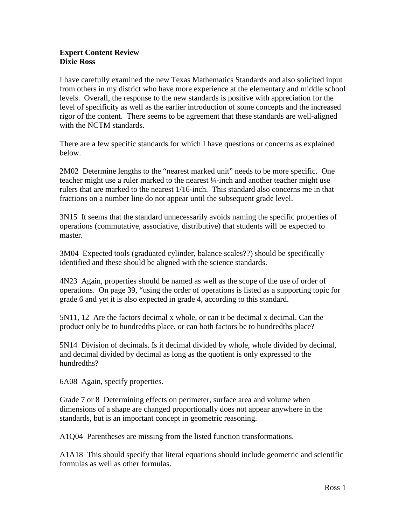## **Expert Content Review Dixie Ross**

I have carefully examined the new Texas Mathematics Standards and also solicited input from others in my district who have more experience at the elementary and middle school levels. Overall, the response to the new standards is positive with appreciation for the level of specificity as well as the earlier introduction of some concepts and the increased rigor of the content. There seems to be agreement that these standards are well-aligned with the NCTM standards.

There are a few specific standards for which I have questions or concerns as explained below.

2M02 Determine lengths to the "nearest marked unit" needs to be more specific. One teacher might use a ruler marked to the nearest ¼-inch and another teacher might use rulers that are marked to the nearest 1/16-inch. This standard also concerns me in that fractions on a number line do not appear until the subsequent grade level.

3N15 It seems that the standard unnecessarily avoids naming the specific properties of operations (commutative, associative, distributive) that students will be expected to master.

3M04 Expected tools (graduated cylinder, balance scales??) should be specifically identified and these should be aligned with the science standards.

4N23 Again, properties should be named as well as the scope of the use of order of operations. On page 39, "using the order of operations is listed as a supporting topic for grade 6 and yet it is also expected in grade 4, according to this standard.

5N11, 12 Are the factors decimal x whole, or can it be decimal x decimal. Can the product only be to hundredths place, or can both factors be to hundredths place?

5N14 Division of decimals. Is it decimal divided by whole, whole divided by decimal, and decimal divided by decimal as long as the quotient is only expressed to the hundredths?

6A08 Again, specify properties.

Grade 7 or 8 Determining effects on perimeter, surface area and volume when dimensions of a shape are changed proportionally does not appear anywhere in the standards, but is an important concept in geometric reasoning.

A1Q04 Parentheses are missing from the listed function transformations.

A1A18 This should specify that literal equations should include geometric and scientific formulas as well as other formulas.